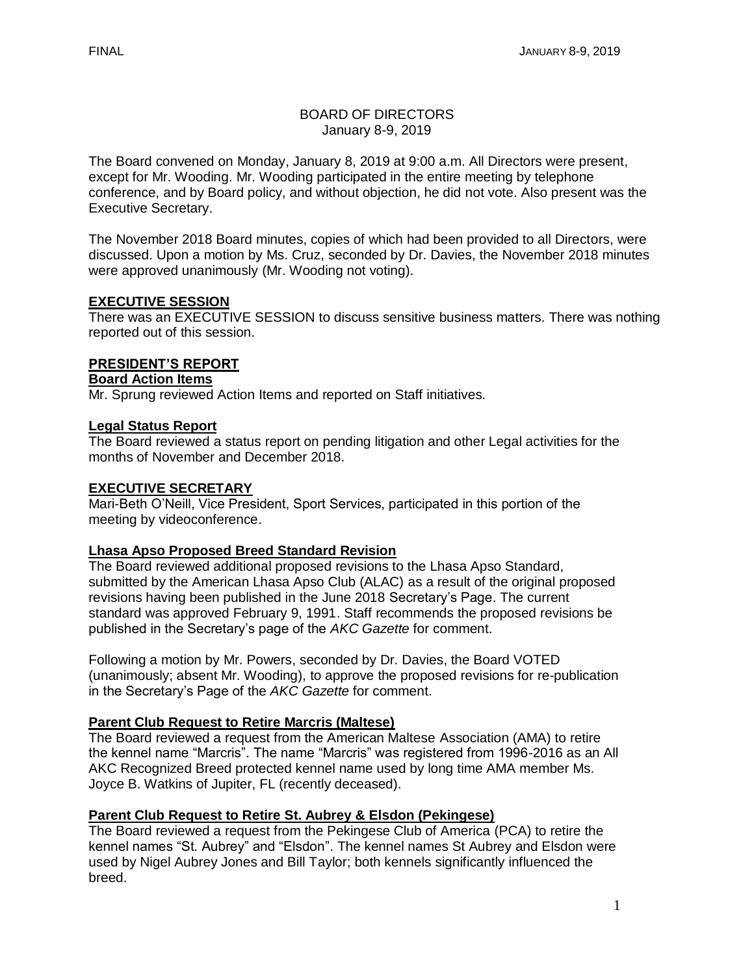### BOARD OF DIRECTORS January 8-9, 2019

The Board convened on Monday, January 8, 2019 at 9:00 a.m. All Directors were present, except for Mr. Wooding. Mr. Wooding participated in the entire meeting by telephone conference, and by Board policy, and without objection, he did not vote. Also present was the Executive Secretary.

The November 2018 Board minutes, copies of which had been provided to all Directors, were discussed. Upon a motion by Ms. Cruz, seconded by Dr. Davies, the November 2018 minutes were approved unanimously (Mr. Wooding not voting).

# **EXECUTIVE SESSION**

There was an EXECUTIVE SESSION to discuss sensitive business matters. There was nothing reported out of this session.

## **PRESIDENT'S REPORT**

## **Board Action Items**

Mr. Sprung reviewed Action Items and reported on Staff initiatives.

## **Legal Status Report**

The Board reviewed a status report on pending litigation and other Legal activities for the months of November and December 2018.

### **EXECUTIVE SECRETARY**

Mari-Beth O'Neill, Vice President, Sport Services, participated in this portion of the meeting by videoconference.

### **Lhasa Apso Proposed Breed Standard Revision**

The Board reviewed additional proposed revisions to the Lhasa Apso Standard, submitted by the American Lhasa Apso Club (ALAC) as a result of the original proposed revisions having been published in the June 2018 Secretary's Page. The current standard was approved February 9, 1991. Staff recommends the proposed revisions be published in the Secretary's page of the *AKC Gazette* for comment.

Following a motion by Mr. Powers, seconded by Dr. Davies, the Board VOTED (unanimously; absent Mr. Wooding), to approve the proposed revisions for re-publication in the Secretary's Page of the *AKC Gazette* for comment.

### **Parent Club Request to Retire Marcris (Maltese)**

The Board reviewed a request from the American Maltese Association (AMA) to retire the kennel name "Marcris". The name "Marcris" was registered from 1996-2016 as an All AKC Recognized Breed protected kennel name used by long time AMA member Ms. Joyce B. Watkins of Jupiter, FL (recently deceased).

# **Parent Club Request to Retire St. Aubrey & Elsdon (Pekingese)**

The Board reviewed a request from the Pekingese Club of America (PCA) to retire the kennel names "St. Aubrey" and "Elsdon". The kennel names St Aubrey and Elsdon were used by Nigel Aubrey Jones and Bill Taylor; both kennels significantly influenced the breed.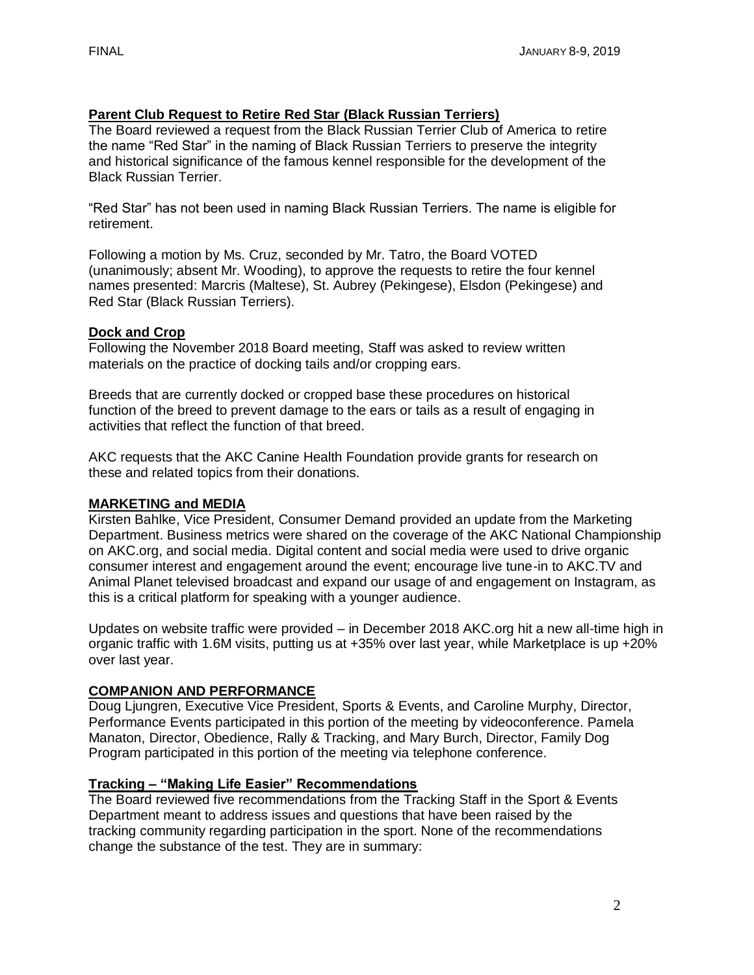# **Parent Club Request to Retire Red Star (Black Russian Terriers)**

The Board reviewed a request from the Black Russian Terrier Club of America to retire the name "Red Star" in the naming of Black Russian Terriers to preserve the integrity and historical significance of the famous kennel responsible for the development of the Black Russian Terrier.

"Red Star" has not been used in naming Black Russian Terriers. The name is eligible for retirement.

Following a motion by Ms. Cruz, seconded by Mr. Tatro, the Board VOTED (unanimously; absent Mr. Wooding), to approve the requests to retire the four kennel names presented: Marcris (Maltese), St. Aubrey (Pekingese), Elsdon (Pekingese) and Red Star (Black Russian Terriers).

## **Dock and Crop**

Following the November 2018 Board meeting, Staff was asked to review written materials on the practice of docking tails and/or cropping ears.

Breeds that are currently docked or cropped base these procedures on historical function of the breed to prevent damage to the ears or tails as a result of engaging in activities that reflect the function of that breed.

AKC requests that the AKC Canine Health Foundation provide grants for research on these and related topics from their donations.

# **MARKETING and MEDIA**

Kirsten Bahlke, Vice President, Consumer Demand provided an update from the Marketing Department. Business metrics were shared on the coverage of the AKC National Championship on AKC.org, and social media. Digital content and social media were used to drive organic consumer interest and engagement around the event; encourage live tune-in to AKC.TV and Animal Planet televised broadcast and expand our usage of and engagement on Instagram, as this is a critical platform for speaking with a younger audience.

Updates on website traffic were provided – in December 2018 AKC.org hit a new all-time high in organic traffic with 1.6M visits, putting us at +35% over last year, while Marketplace is up +20% over last year.

# **COMPANION AND PERFORMANCE**

Doug Ljungren, Executive Vice President, Sports & Events, and Caroline Murphy, Director, Performance Events participated in this portion of the meeting by videoconference. Pamela Manaton, Director, Obedience, Rally & Tracking, and Mary Burch, Director, Family Dog Program participated in this portion of the meeting via telephone conference.

# **Tracking – "Making Life Easier" Recommendations**

The Board reviewed five recommendations from the Tracking Staff in the Sport & Events Department meant to address issues and questions that have been raised by the tracking community regarding participation in the sport. None of the recommendations change the substance of the test. They are in summary: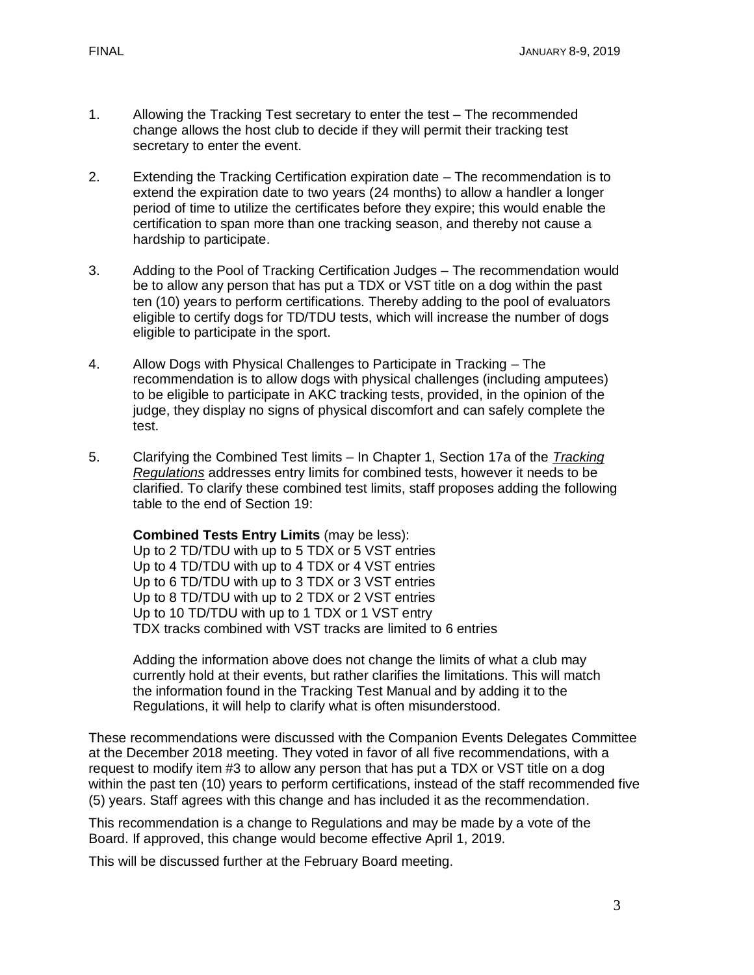- 1. Allowing the Tracking Test secretary to enter the test The recommended change allows the host club to decide if they will permit their tracking test secretary to enter the event.
- 2. Extending the Tracking Certification expiration date The recommendation is to extend the expiration date to two years (24 months) to allow a handler a longer period of time to utilize the certificates before they expire; this would enable the certification to span more than one tracking season, and thereby not cause a hardship to participate.
- 3. Adding to the Pool of Tracking Certification Judges The recommendation would be to allow any person that has put a TDX or VST title on a dog within the past ten (10) years to perform certifications. Thereby adding to the pool of evaluators eligible to certify dogs for TD/TDU tests, which will increase the number of dogs eligible to participate in the sport.
- 4. Allow Dogs with Physical Challenges to Participate in Tracking The recommendation is to allow dogs with physical challenges (including amputees) to be eligible to participate in AKC tracking tests, provided, in the opinion of the judge, they display no signs of physical discomfort and can safely complete the test.
- 5. Clarifying the Combined Test limits In Chapter 1, Section 17a of the *Tracking Regulations* addresses entry limits for combined tests, however it needs to be clarified. To clarify these combined test limits, staff proposes adding the following table to the end of Section 19:

**Combined Tests Entry Limits** (may be less): Up to 2 TD/TDU with up to 5 TDX or 5 VST entries Up to 4 TD/TDU with up to 4 TDX or 4 VST entries Up to 6 TD/TDU with up to 3 TDX or 3 VST entries Up to 8 TD/TDU with up to 2 TDX or 2 VST entries Up to 10 TD/TDU with up to 1 TDX or 1 VST entry TDX tracks combined with VST tracks are limited to 6 entries

Adding the information above does not change the limits of what a club may currently hold at their events, but rather clarifies the limitations. This will match the information found in the Tracking Test Manual and by adding it to the Regulations, it will help to clarify what is often misunderstood.

These recommendations were discussed with the Companion Events Delegates Committee at the December 2018 meeting. They voted in favor of all five recommendations, with a request to modify item #3 to allow any person that has put a TDX or VST title on a dog within the past ten (10) years to perform certifications, instead of the staff recommended five (5) years. Staff agrees with this change and has included it as the recommendation.

This recommendation is a change to Regulations and may be made by a vote of the Board. If approved, this change would become effective April 1, 2019.

This will be discussed further at the February Board meeting.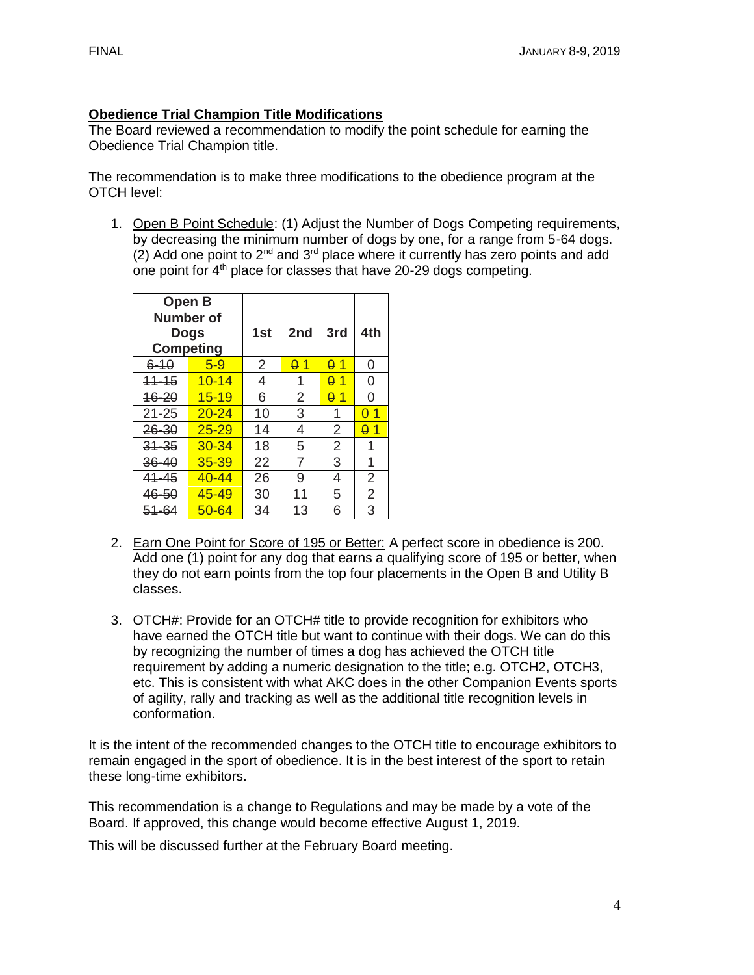# **Obedience Trial Champion Title Modifications**

The Board reviewed a recommendation to modify the point schedule for earning the Obedience Trial Champion title.

The recommendation is to make three modifications to the obedience program at the OTCH level:

1. Open B Point Schedule: (1) Adjust the Number of Dogs Competing requirements, by decreasing the minimum number of dogs by one, for a range from 5-64 dogs. (2) Add one point to  $2^{nd}$  and  $3^{rd}$  place where it currently has zero points and add one point for  $4<sup>th</sup>$  place for classes that have 20-29 dogs competing.

| Open B<br>Number of<br><b>Competing</b> | <b>Dogs</b> | 1st | 2nd        | 3rd            | 4th        |
|-----------------------------------------|-------------|-----|------------|----------------|------------|
| $6 - 10$                                | $5-9$       | 2   | $\theta$ 1 | $\theta$ 1     | 0          |
| $11 - 15$                               | $10 - 14$   | 4   | 1          | -1<br>0        | 0          |
| $16 - 20$                               | $15 - 19$   | 6   | 2          | <u>01</u>      | O          |
| $21 - 25$                               | $20 - 24$   | 10  | 3          | 1              | $\theta$ 1 |
| 26-30                                   | $25 - 29$   | 14  | 4          | 2              | <u>A 1</u> |
| $31 - 35$                               | $30 - 34$   | 18  | 5          | $\overline{2}$ | 1          |
| $36 - 40$                               | $35 - 39$   | 22  | 7          | 3              | 1          |
| $41 - 45$                               | $40 - 44$   | 26  | 9          | 4              | 2          |
| 46-50                                   | 45-49       | 30  | 11         | 5              | 2          |
| 51-64                                   | $50 - 64$   | 34  | 13         | 6              | 3          |

- 2. Earn One Point for Score of 195 or Better: A perfect score in obedience is 200. Add one (1) point for any dog that earns a qualifying score of 195 or better, when they do not earn points from the top four placements in the Open B and Utility B classes.
- 3. OTCH#: Provide for an OTCH# title to provide recognition for exhibitors who have earned the OTCH title but want to continue with their dogs. We can do this by recognizing the number of times a dog has achieved the OTCH title requirement by adding a numeric designation to the title; e.g. OTCH2, OTCH3, etc. This is consistent with what AKC does in the other Companion Events sports of agility, rally and tracking as well as the additional title recognition levels in conformation.

It is the intent of the recommended changes to the OTCH title to encourage exhibitors to remain engaged in the sport of obedience. It is in the best interest of the sport to retain these long-time exhibitors.

This recommendation is a change to Regulations and may be made by a vote of the Board. If approved, this change would become effective August 1, 2019.

This will be discussed further at the February Board meeting.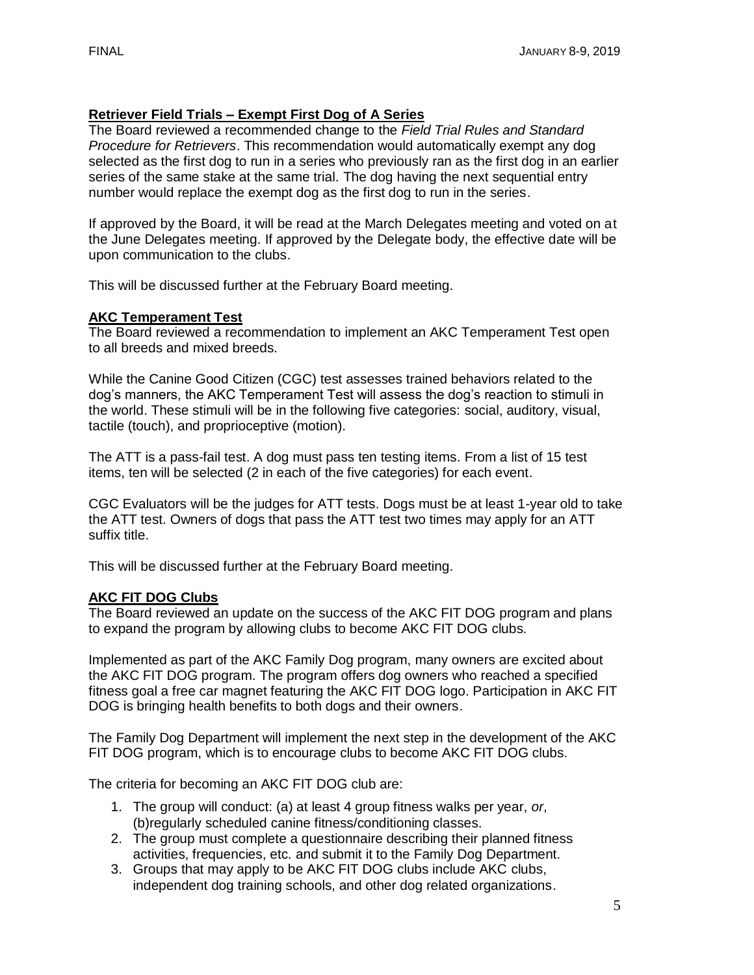# **Retriever Field Trials – Exempt First Dog of A Series**

The Board reviewed a recommended change to the *Field Trial Rules and Standard Procedure for Retrievers*. This recommendation would automatically exempt any dog selected as the first dog to run in a series who previously ran as the first dog in an earlier series of the same stake at the same trial. The dog having the next sequential entry number would replace the exempt dog as the first dog to run in the series.

If approved by the Board, it will be read at the March Delegates meeting and voted on at the June Delegates meeting. If approved by the Delegate body, the effective date will be upon communication to the clubs.

This will be discussed further at the February Board meeting.

# **AKC Temperament Test**

The Board reviewed a recommendation to implement an AKC Temperament Test open to all breeds and mixed breeds.

While the Canine Good Citizen (CGC) test assesses trained behaviors related to the dog's manners, the AKC Temperament Test will assess the dog's reaction to stimuli in the world. These stimuli will be in the following five categories: social, auditory, visual, tactile (touch), and proprioceptive (motion).

The ATT is a pass-fail test. A dog must pass ten testing items. From a list of 15 test items, ten will be selected (2 in each of the five categories) for each event.

CGC Evaluators will be the judges for ATT tests. Dogs must be at least 1-year old to take the ATT test. Owners of dogs that pass the ATT test two times may apply for an ATT suffix title.

This will be discussed further at the February Board meeting.

# **AKC FIT DOG Clubs**

The Board reviewed an update on the success of the AKC FIT DOG program and plans to expand the program by allowing clubs to become AKC FIT DOG clubs.

Implemented as part of the AKC Family Dog program, many owners are excited about the AKC FIT DOG program. The program offers dog owners who reached a specified fitness goal a free car magnet featuring the AKC FIT DOG logo. Participation in AKC FIT DOG is bringing health benefits to both dogs and their owners.

The Family Dog Department will implement the next step in the development of the AKC FIT DOG program, which is to encourage clubs to become AKC FIT DOG clubs.

The criteria for becoming an AKC FIT DOG club are:

- 1. The group will conduct: (a) at least 4 group fitness walks per year, *or*, (b)regularly scheduled canine fitness/conditioning classes.
- 2. The group must complete a questionnaire describing their planned fitness activities, frequencies, etc. and submit it to the Family Dog Department.
- 3. Groups that may apply to be AKC FIT DOG clubs include AKC clubs, independent dog training schools, and other dog related organizations.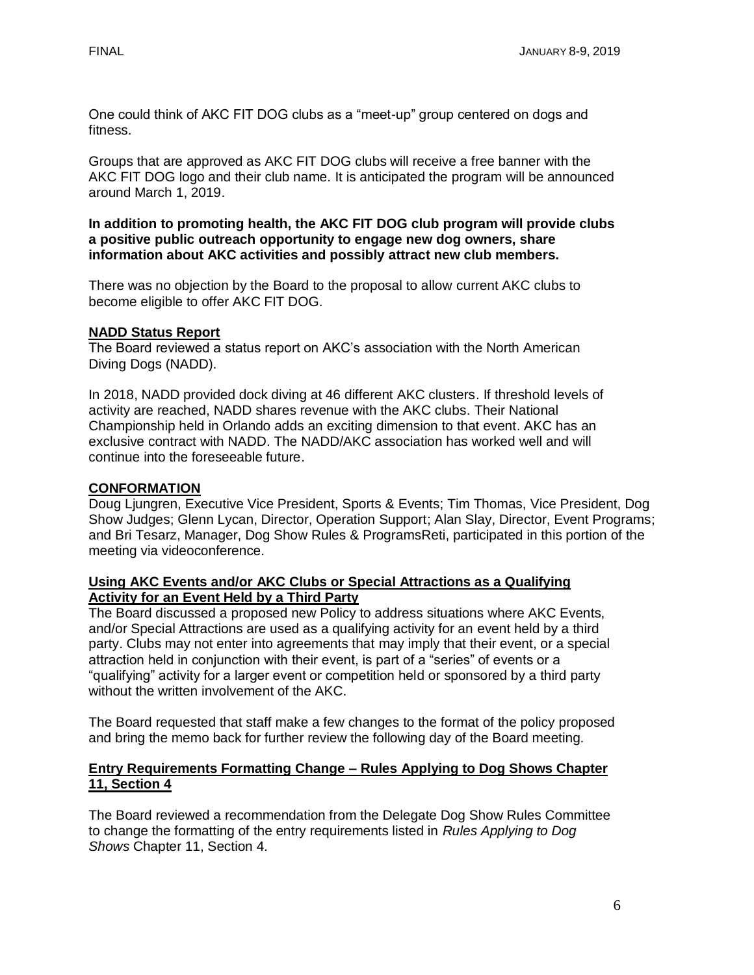One could think of AKC FIT DOG clubs as a "meet-up" group centered on dogs and fitness.

Groups that are approved as AKC FIT DOG clubs will receive a free banner with the AKC FIT DOG logo and their club name. It is anticipated the program will be announced around March 1, 2019.

**In addition to promoting health, the AKC FIT DOG club program will provide clubs a positive public outreach opportunity to engage new dog owners, share information about AKC activities and possibly attract new club members.**

There was no objection by the Board to the proposal to allow current AKC clubs to become eligible to offer AKC FIT DOG.

### **NADD Status Report**

The Board reviewed a status report on AKC's association with the North American Diving Dogs (NADD).

In 2018, NADD provided dock diving at 46 different AKC clusters. If threshold levels of activity are reached, NADD shares revenue with the AKC clubs. Their National Championship held in Orlando adds an exciting dimension to that event. AKC has an exclusive contract with NADD. The NADD/AKC association has worked well and will continue into the foreseeable future.

### **CONFORMATION**

Doug Ljungren, Executive Vice President, Sports & Events; Tim Thomas, Vice President, Dog Show Judges; Glenn Lycan, Director, Operation Support; Alan Slay, Director, Event Programs; and Bri Tesarz, Manager, Dog Show Rules & ProgramsReti, participated in this portion of the meeting via videoconference.

#### **Using AKC Events and/or AKC Clubs or Special Attractions as a Qualifying Activity for an Event Held by a Third Party**

The Board discussed a proposed new Policy to address situations where AKC Events, and/or Special Attractions are used as a qualifying activity for an event held by a third party. Clubs may not enter into agreements that may imply that their event, or a special attraction held in conjunction with their event, is part of a "series" of events or a "qualifying" activity for a larger event or competition held or sponsored by a third party without the written involvement of the AKC.

The Board requested that staff make a few changes to the format of the policy proposed and bring the memo back for further review the following day of the Board meeting.

#### **Entry Requirements Formatting Change – Rules Applying to Dog Shows Chapter 11, Section 4**

The Board reviewed a recommendation from the Delegate Dog Show Rules Committee to change the formatting of the entry requirements listed in *Rules Applying to Dog Shows* Chapter 11, Section 4.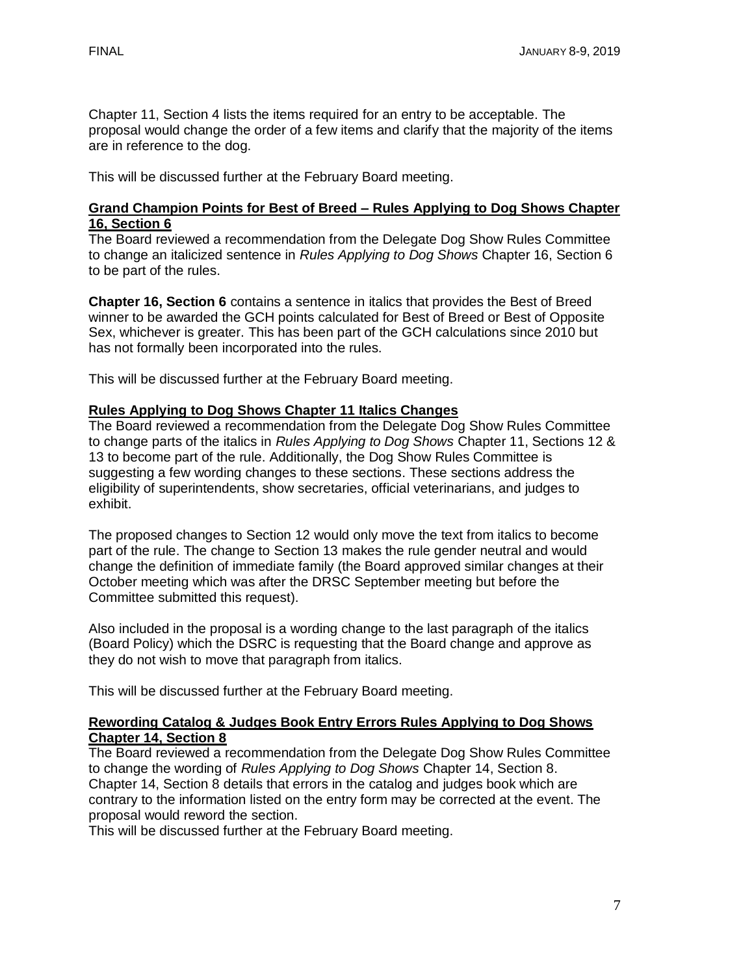Chapter 11, Section 4 lists the items required for an entry to be acceptable. The proposal would change the order of a few items and clarify that the majority of the items are in reference to the dog.

This will be discussed further at the February Board meeting.

### **Grand Champion Points for Best of Breed – Rules Applying to Dog Shows Chapter 16, Section 6**

The Board reviewed a recommendation from the Delegate Dog Show Rules Committee to change an italicized sentence in *Rules Applying to Dog Shows* Chapter 16, Section 6 to be part of the rules.

**Chapter 16, Section 6** contains a sentence in italics that provides the Best of Breed winner to be awarded the GCH points calculated for Best of Breed or Best of Opposite Sex, whichever is greater. This has been part of the GCH calculations since 2010 but has not formally been incorporated into the rules.

This will be discussed further at the February Board meeting.

# **Rules Applying to Dog Shows Chapter 11 Italics Changes**

The Board reviewed a recommendation from the Delegate Dog Show Rules Committee to change parts of the italics in *Rules Applying to Dog Shows* Chapter 11, Sections 12 & 13 to become part of the rule. Additionally, the Dog Show Rules Committee is suggesting a few wording changes to these sections. These sections address the eligibility of superintendents, show secretaries, official veterinarians, and judges to exhibit.

The proposed changes to Section 12 would only move the text from italics to become part of the rule. The change to Section 13 makes the rule gender neutral and would change the definition of immediate family (the Board approved similar changes at their October meeting which was after the DRSC September meeting but before the Committee submitted this request).

Also included in the proposal is a wording change to the last paragraph of the italics (Board Policy) which the DSRC is requesting that the Board change and approve as they do not wish to move that paragraph from italics.

This will be discussed further at the February Board meeting.

### **Rewording Catalog & Judges Book Entry Errors Rules Applying to Dog Shows Chapter 14, Section 8**

The Board reviewed a recommendation from the Delegate Dog Show Rules Committee to change the wording of *Rules Applying to Dog Shows* Chapter 14, Section 8. Chapter 14, Section 8 details that errors in the catalog and judges book which are contrary to the information listed on the entry form may be corrected at the event. The proposal would reword the section.

This will be discussed further at the February Board meeting.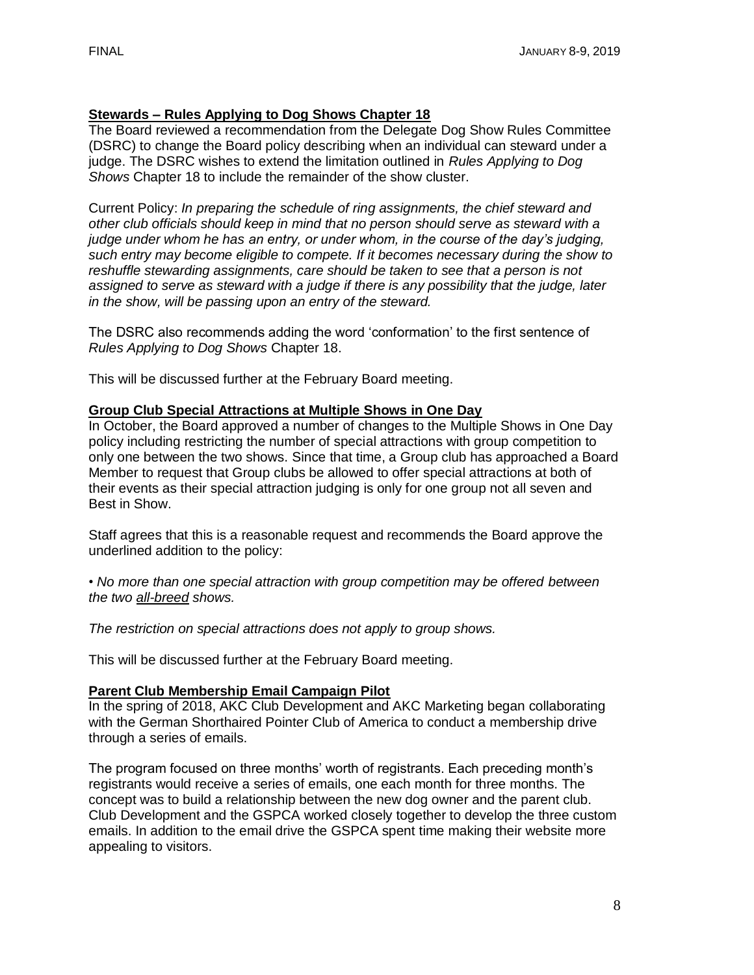## **Stewards – Rules Applying to Dog Shows Chapter 18**

The Board reviewed a recommendation from the Delegate Dog Show Rules Committee (DSRC) to change the Board policy describing when an individual can steward under a judge. The DSRC wishes to extend the limitation outlined in *Rules Applying to Dog Shows* Chapter 18 to include the remainder of the show cluster.

Current Policy: *In preparing the schedule of ring assignments, the chief steward and other club officials should keep in mind that no person should serve as steward with a judge under whom he has an entry, or under whom, in the course of the day's judging, such entry may become eligible to compete. If it becomes necessary during the show to*  reshuffle stewarding assignments, care should be taken to see that a person is not *assigned to serve as steward with a judge if there is any possibility that the judge, later in the show, will be passing upon an entry of the steward.*

The DSRC also recommends adding the word 'conformation' to the first sentence of *Rules Applying to Dog Shows* Chapter 18.

This will be discussed further at the February Board meeting.

### **Group Club Special Attractions at Multiple Shows in One Day**

In October, the Board approved a number of changes to the Multiple Shows in One Day policy including restricting the number of special attractions with group competition to only one between the two shows. Since that time, a Group club has approached a Board Member to request that Group clubs be allowed to offer special attractions at both of their events as their special attraction judging is only for one group not all seven and Best in Show.

Staff agrees that this is a reasonable request and recommends the Board approve the underlined addition to the policy:

*• No more than one special attraction with group competition may be offered between the two all-breed shows.* 

*The restriction on special attractions does not apply to group shows.*

This will be discussed further at the February Board meeting.

#### **Parent Club Membership Email Campaign Pilot**

In the spring of 2018, AKC Club Development and AKC Marketing began collaborating with the German Shorthaired Pointer Club of America to conduct a membership drive through a series of emails.

The program focused on three months' worth of registrants. Each preceding month's registrants would receive a series of emails, one each month for three months. The concept was to build a relationship between the new dog owner and the parent club. Club Development and the GSPCA worked closely together to develop the three custom emails. In addition to the email drive the GSPCA spent time making their website more appealing to visitors.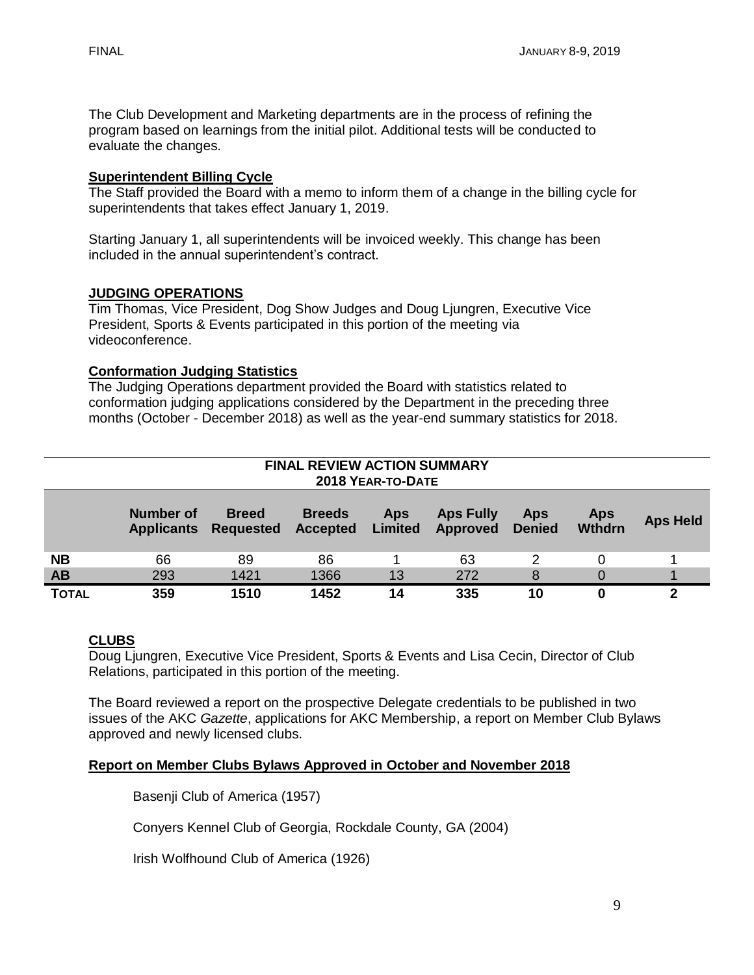The Club Development and Marketing departments are in the process of refining the program based on learnings from the initial pilot. Additional tests will be conducted to evaluate the changes.

### **Superintendent Billing Cycle**

The Staff provided the Board with a memo to inform them of a change in the billing cycle for superintendents that takes effect January 1, 2019.

Starting January 1, all superintendents will be invoiced weekly. This change has been included in the annual superintendent's contract.

### **JUDGING OPERATIONS**

Tim Thomas, Vice President, Dog Show Judges and Doug Ljungren, Executive Vice President, Sports & Events participated in this portion of the meeting via videoconference.

### **Conformation Judging Statistics**

The Judging Operations department provided the Board with statistics related to conformation judging applications considered by the Department in the preceding three months (October - December 2018) as well as the year-end summary statistics for 2018.

| <b>FINAL REVIEW ACTION SUMMARY</b><br>2018 YEAR-TO-DATE |                                |                                  |                                  |                              |                              |                             |                             |                 |  |  |
|---------------------------------------------------------|--------------------------------|----------------------------------|----------------------------------|------------------------------|------------------------------|-----------------------------|-----------------------------|-----------------|--|--|
|                                                         | Number of<br><b>Applicants</b> | <b>Breed</b><br><b>Requested</b> | <b>Breeds</b><br><b>Accepted</b> | <b>Aps</b><br><b>Limited</b> | <b>Aps Fully</b><br>Approved | <b>Aps</b><br><b>Denied</b> | <b>Aps</b><br><b>Wthdrn</b> | <b>Aps Held</b> |  |  |
| <b>NB</b>                                               | 66                             | 89                               | 86                               |                              | 63                           | 2                           | 0                           |                 |  |  |
| AB                                                      | 293                            | 1421                             | 1366                             | 13                           | 272                          | 8                           | 0                           |                 |  |  |
| <b>TOTAL</b>                                            | 359                            | 1510                             | 1452                             | 14                           | 335                          | 10                          | 0                           | 2               |  |  |

# **CLUBS**

Doug Ljungren, Executive Vice President, Sports & Events and Lisa Cecin, Director of Club Relations, participated in this portion of the meeting.

The Board reviewed a report on the prospective Delegate credentials to be published in two issues of the AKC *Gazette*, applications for AKC Membership, a report on Member Club Bylaws approved and newly licensed clubs.

# **Report on Member Clubs Bylaws Approved in October and November 2018**

Basenji Club of America (1957)

Conyers Kennel Club of Georgia, Rockdale County, GA (2004)

Irish Wolfhound Club of America (1926)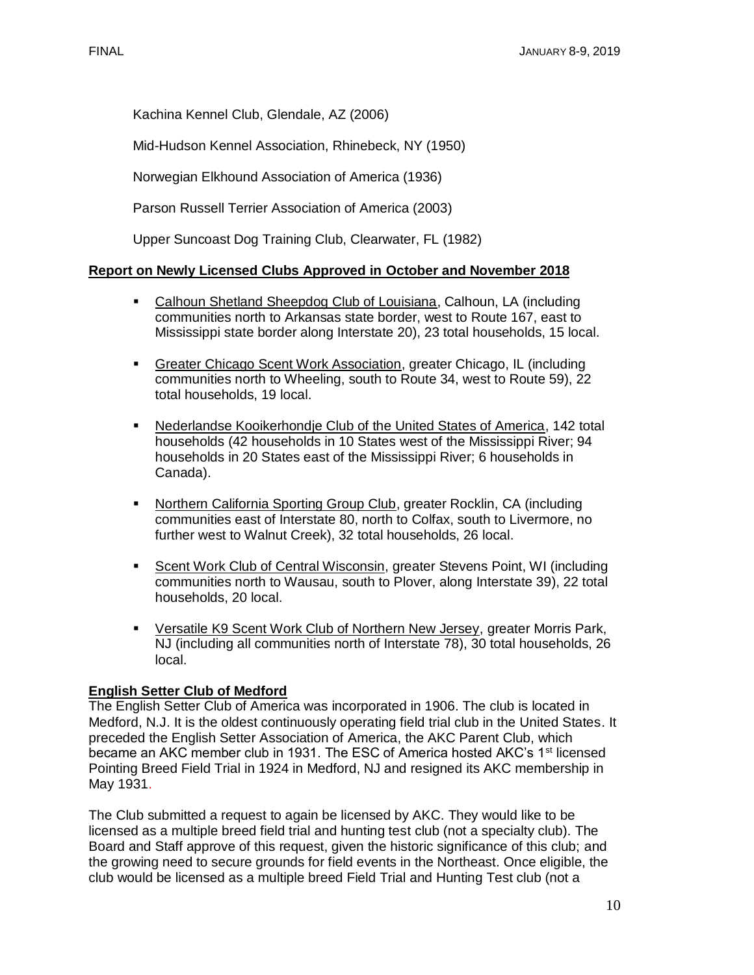Kachina Kennel Club, Glendale, AZ (2006)

Mid-Hudson Kennel Association, Rhinebeck, NY (1950)

Norwegian Elkhound Association of America (1936)

Parson Russell Terrier Association of America (2003)

Upper Suncoast Dog Training Club, Clearwater, FL (1982)

### **Report on Newly Licensed Clubs Approved in October and November 2018**

- Calhoun Shetland Sheepdog Club of Louisiana, Calhoun, LA (including communities north to Arkansas state border, west to Route 167, east to Mississippi state border along Interstate 20), 23 total households, 15 local.
- Greater Chicago Scent Work Association, greater Chicago, IL (including communities north to Wheeling, south to Route 34, west to Route 59), 22 total households, 19 local.
- Nederlandse Kooikerhondje Club of the United States of America, 142 total households (42 households in 10 States west of the Mississippi River; 94 households in 20 States east of the Mississippi River; 6 households in Canada).
- Northern California Sporting Group Club, greater Rocklin, CA (including communities east of Interstate 80, north to Colfax, south to Livermore, no further west to Walnut Creek), 32 total households, 26 local.
- Scent Work Club of Central Wisconsin, greater Stevens Point, WI (including communities north to Wausau, south to Plover, along Interstate 39), 22 total households, 20 local.
- **EXECTS Versatile K9 Scent Work Club of Northern New Jersey, greater Morris Park,** NJ (including all communities north of Interstate 78), 30 total households, 26 local.

### **English Setter Club of Medford**

The English Setter Club of America was incorporated in 1906. The club is located in Medford, N.J. It is the oldest continuously operating field trial club in the United States. It preceded the English Setter Association of America, the AKC Parent Club, which became an AKC member club in 1931. The ESC of America hosted AKC's 1<sup>st</sup> licensed Pointing Breed Field Trial in 1924 in Medford, NJ and resigned its AKC membership in May 1931.

The Club submitted a request to again be licensed by AKC. They would like to be licensed as a multiple breed field trial and hunting test club (not a specialty club). The Board and Staff approve of this request, given the historic significance of this club; and the growing need to secure grounds for field events in the Northeast. Once eligible, the club would be licensed as a multiple breed Field Trial and Hunting Test club (not a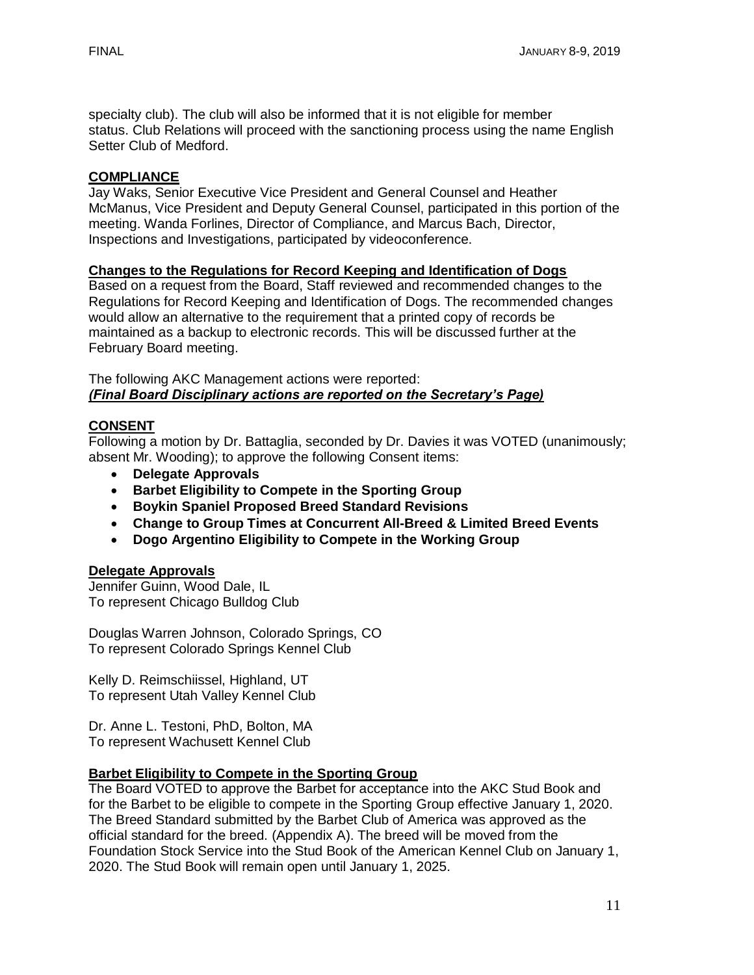specialty club). The club will also be informed that it is not eligible for member status. Club Relations will proceed with the sanctioning process using the name English Setter Club of Medford.

## **COMPLIANCE**

Jay Waks, Senior Executive Vice President and General Counsel and Heather McManus, Vice President and Deputy General Counsel, participated in this portion of the meeting. Wanda Forlines, Director of Compliance, and Marcus Bach, Director, Inspections and Investigations, participated by videoconference.

## **Changes to the Regulations for Record Keeping and Identification of Dogs**

Based on a request from the Board, Staff reviewed and recommended changes to the Regulations for Record Keeping and Identification of Dogs. The recommended changes would allow an alternative to the requirement that a printed copy of records be maintained as a backup to electronic records. This will be discussed further at the February Board meeting.

The following AKC Management actions were reported: *(Final Board Disciplinary actions are reported on the Secretary's Page)*

# **CONSENT**

Following a motion by Dr. Battaglia, seconded by Dr. Davies it was VOTED (unanimously; absent Mr. Wooding); to approve the following Consent items:

- **Delegate Approvals**
- **Barbet Eligibility to Compete in the Sporting Group**
- **Boykin Spaniel Proposed Breed Standard Revisions**
- **Change to Group Times at Concurrent All-Breed & Limited Breed Events**
- **Dogo Argentino Eligibility to Compete in the Working Group**

### **Delegate Approvals**

Jennifer Guinn, Wood Dale, IL To represent Chicago Bulldog Club

Douglas Warren Johnson, Colorado Springs, CO To represent Colorado Springs Kennel Club

Kelly D. Reimschiissel, Highland, UT To represent Utah Valley Kennel Club

Dr. Anne L. Testoni, PhD, Bolton, MA To represent Wachusett Kennel Club

### **Barbet Eligibility to Compete in the Sporting Group**

The Board VOTED to approve the Barbet for acceptance into the AKC Stud Book and for the Barbet to be eligible to compete in the Sporting Group effective January 1, 2020. The Breed Standard submitted by the Barbet Club of America was approved as the official standard for the breed. (Appendix A). The breed will be moved from the Foundation Stock Service into the Stud Book of the American Kennel Club on January 1, 2020. The Stud Book will remain open until January 1, 2025.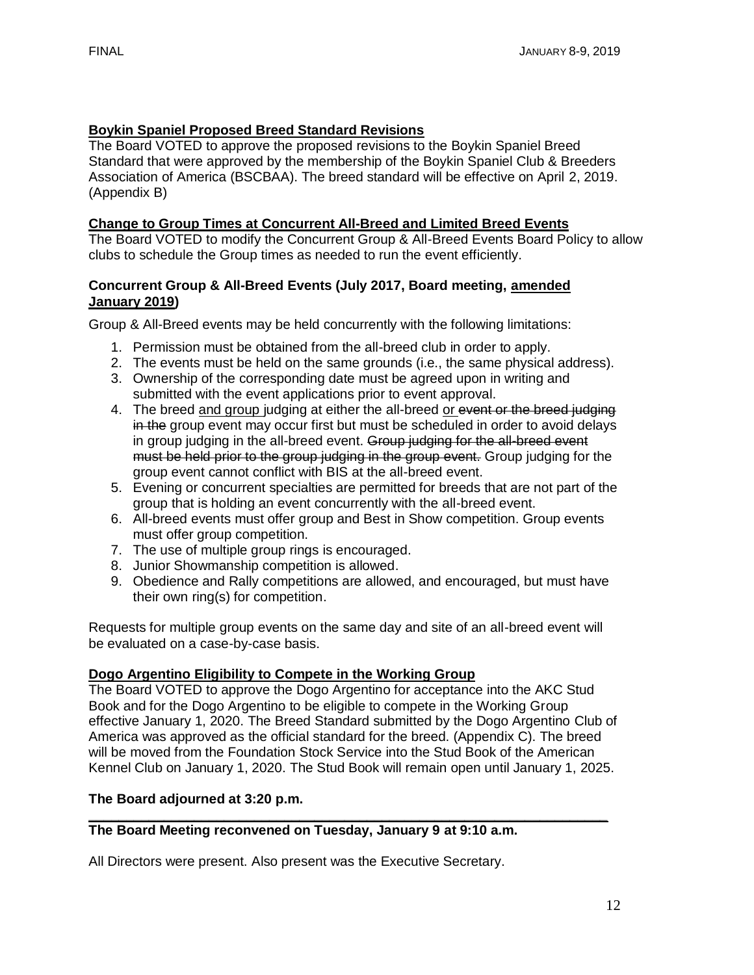# **Boykin Spaniel Proposed Breed Standard Revisions**

The Board VOTED to approve the proposed revisions to the Boykin Spaniel Breed Standard that were approved by the membership of the Boykin Spaniel Club & Breeders Association of America (BSCBAA). The breed standard will be effective on April 2, 2019. (Appendix B)

# **Change to Group Times at Concurrent All-Breed and Limited Breed Events**

The Board VOTED to modify the Concurrent Group & All-Breed Events Board Policy to allow clubs to schedule the Group times as needed to run the event efficiently.

## **Concurrent Group & All-Breed Events (July 2017, Board meeting, amended January 2019)**

Group & All-Breed events may be held concurrently with the following limitations:

- 1. Permission must be obtained from the all-breed club in order to apply.
- 2. The events must be held on the same grounds (i.e., the same physical address).
- 3. Ownership of the corresponding date must be agreed upon in writing and submitted with the event applications prior to event approval.
- 4. The breed and group judging at either the all-breed or event or the breed judging in the group event may occur first but must be scheduled in order to avoid delays in group judging in the all-breed event. Group judging for the all-breed event must be held prior to the group judging in the group event. Group judging for the group event cannot conflict with BIS at the all-breed event.
- 5. Evening or concurrent specialties are permitted for breeds that are not part of the group that is holding an event concurrently with the all-breed event.
- 6. All-breed events must offer group and Best in Show competition. Group events must offer group competition.
- 7. The use of multiple group rings is encouraged.
- 8. Junior Showmanship competition is allowed.
- 9. Obedience and Rally competitions are allowed, and encouraged, but must have their own ring(s) for competition.

Requests for multiple group events on the same day and site of an all-breed event will be evaluated on a case-by-case basis.

# **Dogo Argentino Eligibility to Compete in the Working Group**

The Board VOTED to approve the Dogo Argentino for acceptance into the AKC Stud Book and for the Dogo Argentino to be eligible to compete in the Working Group effective January 1, 2020. The Breed Standard submitted by the Dogo Argentino Club of America was approved as the official standard for the breed. (Appendix C). The breed will be moved from the Foundation Stock Service into the Stud Book of the American Kennel Club on January 1, 2020. The Stud Book will remain open until January 1, 2025.

# **The Board adjourned at 3:20 p.m.**

#### **\_\_\_\_\_\_\_\_\_\_\_\_\_\_\_\_\_\_\_\_\_\_\_\_\_\_\_\_\_\_\_\_\_\_\_\_\_\_\_\_\_\_\_\_\_\_\_\_\_\_\_\_\_\_\_\_\_\_\_\_\_\_\_\_\_\_\_\_\_ The Board Meeting reconvened on Tuesday, January 9 at 9:10 a.m.**

All Directors were present. Also present was the Executive Secretary.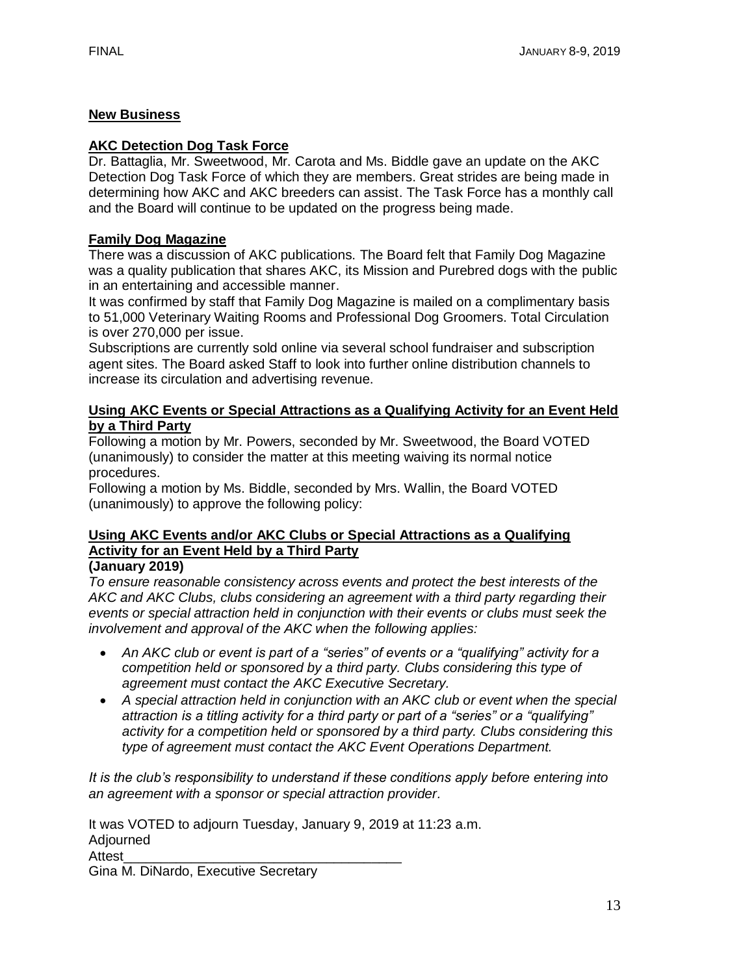# **New Business**

#### **AKC Detection Dog Task Force**

Dr. Battaglia, Mr. Sweetwood, Mr. Carota and Ms. Biddle gave an update on the AKC Detection Dog Task Force of which they are members. Great strides are being made in determining how AKC and AKC breeders can assist. The Task Force has a monthly call and the Board will continue to be updated on the progress being made.

### **Family Dog Magazine**

There was a discussion of AKC publications. The Board felt that Family Dog Magazine was a quality publication that shares AKC, its Mission and Purebred dogs with the public in an entertaining and accessible manner.

It was confirmed by staff that Family Dog Magazine is mailed on a complimentary basis to 51,000 Veterinary Waiting Rooms and Professional Dog Groomers. Total Circulation is over 270,000 per issue.

Subscriptions are currently sold online via several school fundraiser and subscription agent sites. The Board asked Staff to look into further online distribution channels to increase its circulation and advertising revenue.

#### **Using AKC Events or Special Attractions as a Qualifying Activity for an Event Held by a Third Party**

Following a motion by Mr. Powers, seconded by Mr. Sweetwood, the Board VOTED (unanimously) to consider the matter at this meeting waiving its normal notice procedures.

Following a motion by Ms. Biddle, seconded by Mrs. Wallin, the Board VOTED (unanimously) to approve the following policy:

# **Using AKC Events and/or AKC Clubs or Special Attractions as a Qualifying Activity for an Event Held by a Third Party**

**(January 2019)** 

*To ensure reasonable consistency across events and protect the best interests of the AKC and AKC Clubs, clubs considering an agreement with a third party regarding their events or special attraction held in conjunction with their events or clubs must seek the involvement and approval of the AKC when the following applies:* 

- *An AKC club or event is part of a "series" of events or a "qualifying" activity for a competition held or sponsored by a third party. Clubs considering this type of agreement must contact the AKC Executive Secretary.*
- *A special attraction held in conjunction with an AKC club or event when the special attraction is a titling activity for a third party or part of a "series" or a "qualifying" activity for a competition held or sponsored by a third party. Clubs considering this type of agreement must contact the AKC Event Operations Department.*

*It is the club's responsibility to understand if these conditions apply before entering into an agreement with a sponsor or special attraction provider.* 

It was VOTED to adjourn Tuesday, January 9, 2019 at 11:23 a.m. Adjourned Attest\_\_\_\_\_\_\_\_\_\_\_\_\_\_\_\_\_\_\_\_\_\_\_\_\_\_\_\_\_\_\_\_\_\_\_\_\_ Gina M. DiNardo, Executive Secretary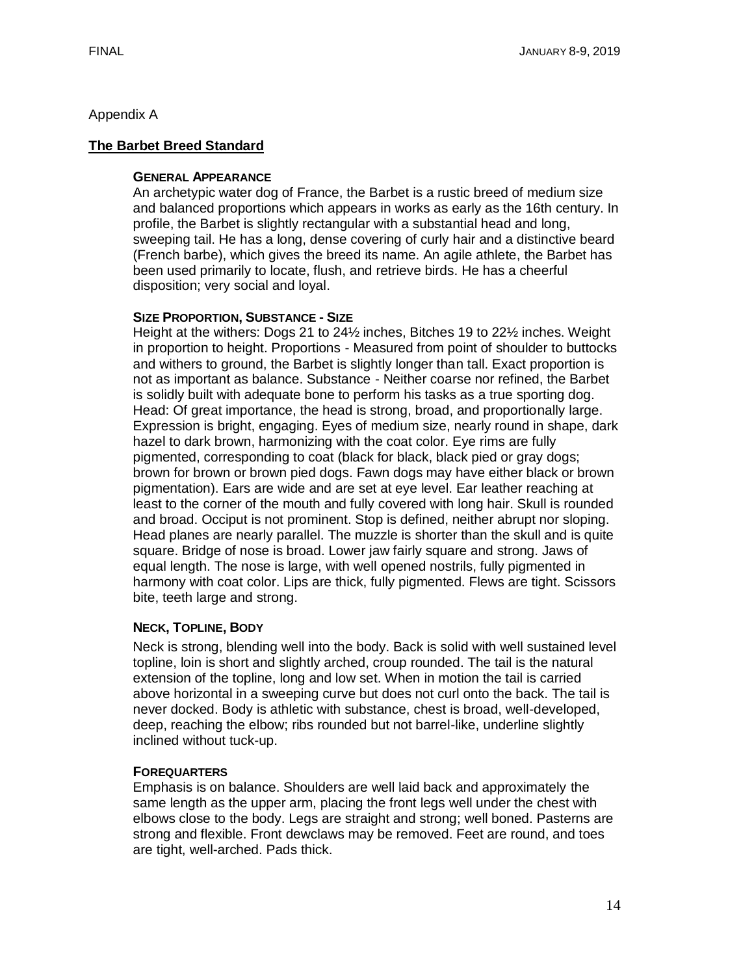## Appendix A

# **The Barbet Breed Standard**

### **GENERAL APPEARANCE**

An archetypic water dog of France, the Barbet is a rustic breed of medium size and balanced proportions which appears in works as early as the 16th century. In profile, the Barbet is slightly rectangular with a substantial head and long, sweeping tail. He has a long, dense covering of curly hair and a distinctive beard (French barbe), which gives the breed its name. An agile athlete, the Barbet has been used primarily to locate, flush, and retrieve birds. He has a cheerful disposition; very social and loyal.

### **SIZE PROPORTION, SUBSTANCE - SIZE**

Height at the withers: Dogs 21 to 24½ inches, Bitches 19 to 22½ inches. Weight in proportion to height. Proportions - Measured from point of shoulder to buttocks and withers to ground, the Barbet is slightly longer than tall. Exact proportion is not as important as balance. Substance - Neither coarse nor refined, the Barbet is solidly built with adequate bone to perform his tasks as a true sporting dog. Head: Of great importance, the head is strong, broad, and proportionally large. Expression is bright, engaging. Eyes of medium size, nearly round in shape, dark hazel to dark brown, harmonizing with the coat color. Eye rims are fully pigmented, corresponding to coat (black for black, black pied or gray dogs; brown for brown or brown pied dogs. Fawn dogs may have either black or brown pigmentation). Ears are wide and are set at eye level. Ear leather reaching at least to the corner of the mouth and fully covered with long hair. Skull is rounded and broad. Occiput is not prominent. Stop is defined, neither abrupt nor sloping. Head planes are nearly parallel. The muzzle is shorter than the skull and is quite square. Bridge of nose is broad. Lower jaw fairly square and strong. Jaws of equal length. The nose is large, with well opened nostrils, fully pigmented in harmony with coat color. Lips are thick, fully pigmented. Flews are tight. Scissors bite, teeth large and strong.

### **NECK, TOPLINE, BODY**

Neck is strong, blending well into the body. Back is solid with well sustained level topline, loin is short and slightly arched, croup rounded. The tail is the natural extension of the topline, long and low set. When in motion the tail is carried above horizontal in a sweeping curve but does not curl onto the back. The tail is never docked. Body is athletic with substance, chest is broad, well-developed, deep, reaching the elbow; ribs rounded but not barrel-like, underline slightly inclined without tuck-up.

### **FOREQUARTERS**

Emphasis is on balance. Shoulders are well laid back and approximately the same length as the upper arm, placing the front legs well under the chest with elbows close to the body. Legs are straight and strong; well boned. Pasterns are strong and flexible. Front dewclaws may be removed. Feet are round, and toes are tight, well-arched. Pads thick.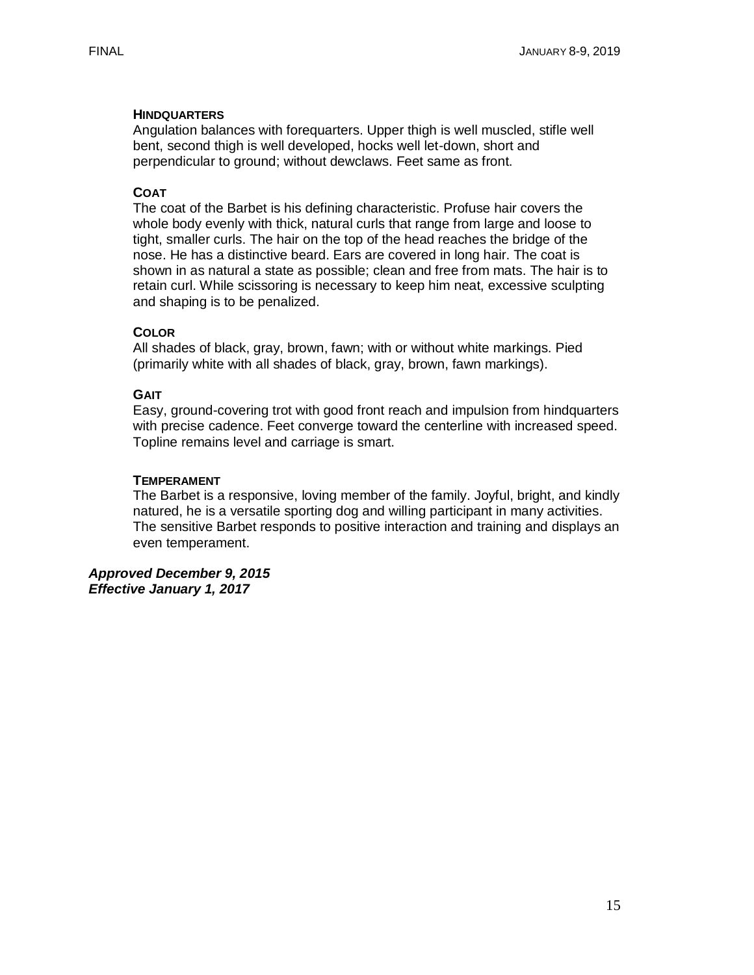### **HINDQUARTERS**

Angulation balances with forequarters. Upper thigh is well muscled, stifle well bent, second thigh is well developed, hocks well let-down, short and perpendicular to ground; without dewclaws. Feet same as front.

## **COAT**

The coat of the Barbet is his defining characteristic. Profuse hair covers the whole body evenly with thick, natural curls that range from large and loose to tight, smaller curls. The hair on the top of the head reaches the bridge of the nose. He has a distinctive beard. Ears are covered in long hair. The coat is shown in as natural a state as possible; clean and free from mats. The hair is to retain curl. While scissoring is necessary to keep him neat, excessive sculpting and shaping is to be penalized.

### **COLOR**

All shades of black, gray, brown, fawn; with or without white markings. Pied (primarily white with all shades of black, gray, brown, fawn markings).

### **GAIT**

Easy, ground-covering trot with good front reach and impulsion from hindquarters with precise cadence. Feet converge toward the centerline with increased speed. Topline remains level and carriage is smart.

### **TEMPERAMENT**

The Barbet is a responsive, loving member of the family. Joyful, bright, and kindly natured, he is a versatile sporting dog and willing participant in many activities. The sensitive Barbet responds to positive interaction and training and displays an even temperament.

*Approved December 9, 2015 Effective January 1, 2017*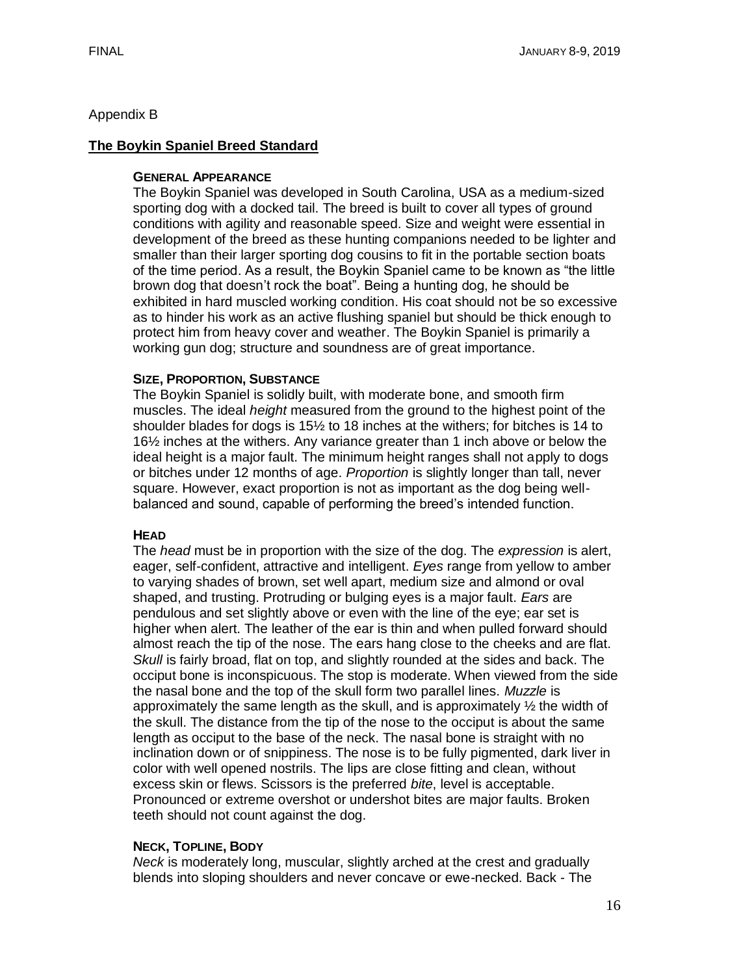## Appendix B

## **The Boykin Spaniel Breed Standard**

### **GENERAL APPEARANCE**

The Boykin Spaniel was developed in South Carolina, USA as a medium-sized sporting dog with a docked tail. The breed is built to cover all types of ground conditions with agility and reasonable speed. Size and weight were essential in development of the breed as these hunting companions needed to be lighter and smaller than their larger sporting dog cousins to fit in the portable section boats of the time period. As a result, the Boykin Spaniel came to be known as "the little brown dog that doesn't rock the boat". Being a hunting dog, he should be exhibited in hard muscled working condition. His coat should not be so excessive as to hinder his work as an active flushing spaniel but should be thick enough to protect him from heavy cover and weather. The Boykin Spaniel is primarily a working gun dog; structure and soundness are of great importance.

### **SIZE, PROPORTION, SUBSTANCE**

The Boykin Spaniel is solidly built, with moderate bone, and smooth firm muscles. The ideal *height* measured from the ground to the highest point of the shoulder blades for dogs is 15½ to 18 inches at the withers; for bitches is 14 to 16½ inches at the withers. Any variance greater than 1 inch above or below the ideal height is a major fault. The minimum height ranges shall not apply to dogs or bitches under 12 months of age. *Proportion* is slightly longer than tall, never square. However, exact proportion is not as important as the dog being wellbalanced and sound, capable of performing the breed's intended function.

### **HEAD**

The *head* must be in proportion with the size of the dog. The *expression* is alert, eager, self-confident, attractive and intelligent. *Eyes* range from yellow to amber to varying shades of brown, set well apart, medium size and almond or oval shaped, and trusting. Protruding or bulging eyes is a major fault. *Ears* are pendulous and set slightly above or even with the line of the eye; ear set is higher when alert. The leather of the ear is thin and when pulled forward should almost reach the tip of the nose. The ears hang close to the cheeks and are flat. *Skull* is fairly broad, flat on top, and slightly rounded at the sides and back. The occiput bone is inconspicuous. The stop is moderate. When viewed from the side the nasal bone and the top of the skull form two parallel lines. *Muzzle* is approximately the same length as the skull, and is approximately  $\frac{1}{2}$  the width of the skull. The distance from the tip of the nose to the occiput is about the same length as occiput to the base of the neck. The nasal bone is straight with no inclination down or of snippiness. The nose is to be fully pigmented, dark liver in color with well opened nostrils. The lips are close fitting and clean, without excess skin or flews. Scissors is the preferred *bite*, level is acceptable. Pronounced or extreme overshot or undershot bites are major faults. Broken teeth should not count against the dog.

# **NECK, TOPLINE, BODY**

*Neck* is moderately long, muscular, slightly arched at the crest and gradually blends into sloping shoulders and never concave or ewe-necked. Back - The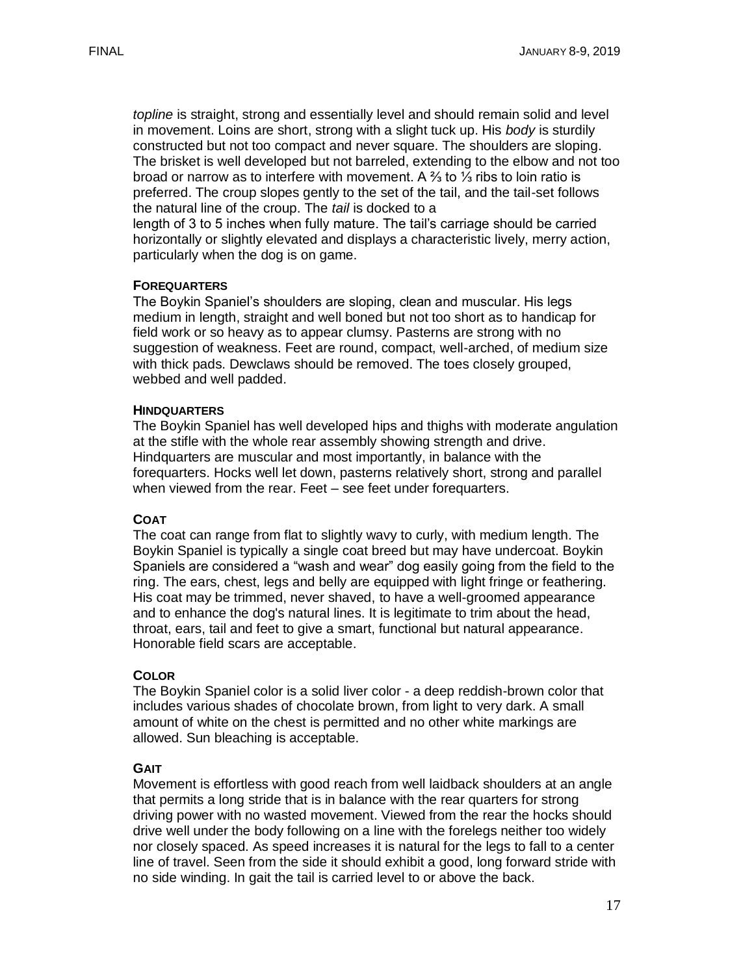*topline* is straight, strong and essentially level and should remain solid and level in movement. Loins are short, strong with a slight tuck up. His *body* is sturdily constructed but not too compact and never square. The shoulders are sloping. The brisket is well developed but not barreled, extending to the elbow and not too broad or narrow as to interfere with movement. A ⅔ to ⅓ ribs to loin ratio is preferred. The croup slopes gently to the set of the tail, and the tail-set follows the natural line of the croup. The *tail* is docked to a length of 3 to 5 inches when fully mature. The tail's carriage should be carried horizontally or slightly elevated and displays a characteristic lively, merry action,

#### **FOREQUARTERS**

particularly when the dog is on game.

The Boykin Spaniel's shoulders are sloping, clean and muscular. His legs medium in length, straight and well boned but not too short as to handicap for field work or so heavy as to appear clumsy. Pasterns are strong with no suggestion of weakness. Feet are round, compact, well-arched, of medium size with thick pads. Dewclaws should be removed. The toes closely grouped, webbed and well padded.

#### **HINDQUARTERS**

The Boykin Spaniel has well developed hips and thighs with moderate angulation at the stifle with the whole rear assembly showing strength and drive. Hindquarters are muscular and most importantly, in balance with the forequarters. Hocks well let down, pasterns relatively short, strong and parallel when viewed from the rear. Feet – see feet under forequarters.

### **COAT**

The coat can range from flat to slightly wavy to curly, with medium length. The Boykin Spaniel is typically a single coat breed but may have undercoat. Boykin Spaniels are considered a "wash and wear" dog easily going from the field to the ring. The ears, chest, legs and belly are equipped with light fringe or feathering. His coat may be trimmed, never shaved, to have a well-groomed appearance and to enhance the dog's natural lines. It is legitimate to trim about the head, throat, ears, tail and feet to give a smart, functional but natural appearance. Honorable field scars are acceptable.

#### **COLOR**

The Boykin Spaniel color is a solid liver color - a deep reddish-brown color that includes various shades of chocolate brown, from light to very dark. A small amount of white on the chest is permitted and no other white markings are allowed. Sun bleaching is acceptable.

### **GAIT**

Movement is effortless with good reach from well laidback shoulders at an angle that permits a long stride that is in balance with the rear quarters for strong driving power with no wasted movement. Viewed from the rear the hocks should drive well under the body following on a line with the forelegs neither too widely nor closely spaced. As speed increases it is natural for the legs to fall to a center line of travel. Seen from the side it should exhibit a good, long forward stride with no side winding. In gait the tail is carried level to or above the back.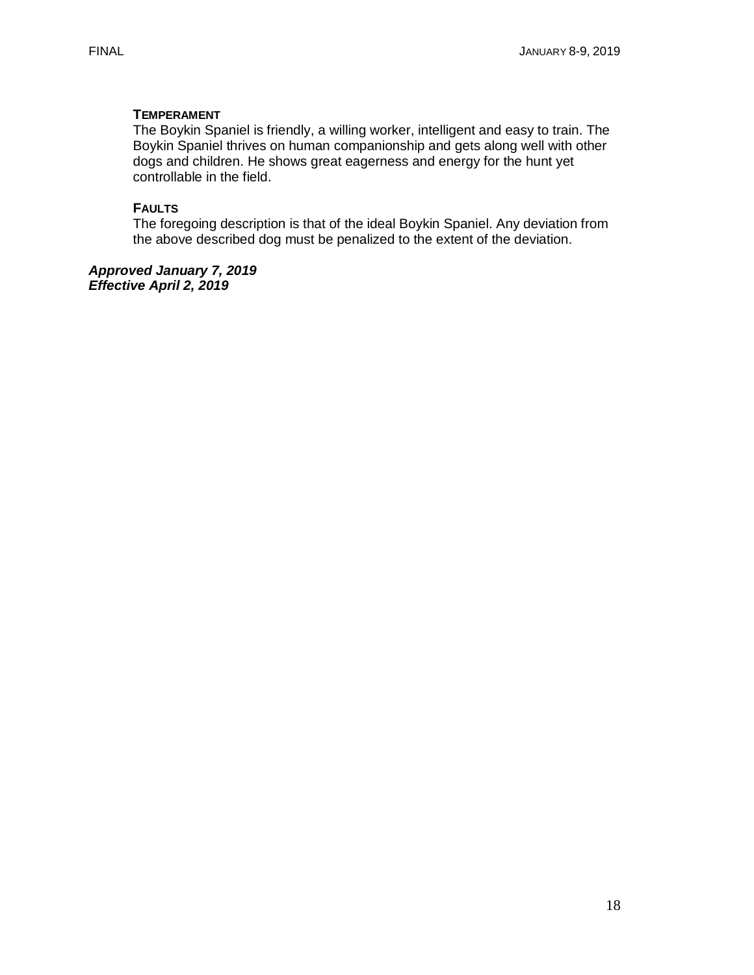## **TEMPERAMENT**

The Boykin Spaniel is friendly, a willing worker, intelligent and easy to train. The Boykin Spaniel thrives on human companionship and gets along well with other dogs and children. He shows great eagerness and energy for the hunt yet controllable in the field.

### **FAULTS**

The foregoing description is that of the ideal Boykin Spaniel. Any deviation from the above described dog must be penalized to the extent of the deviation.

*Approved January 7, 2019 Effective April 2, 2019*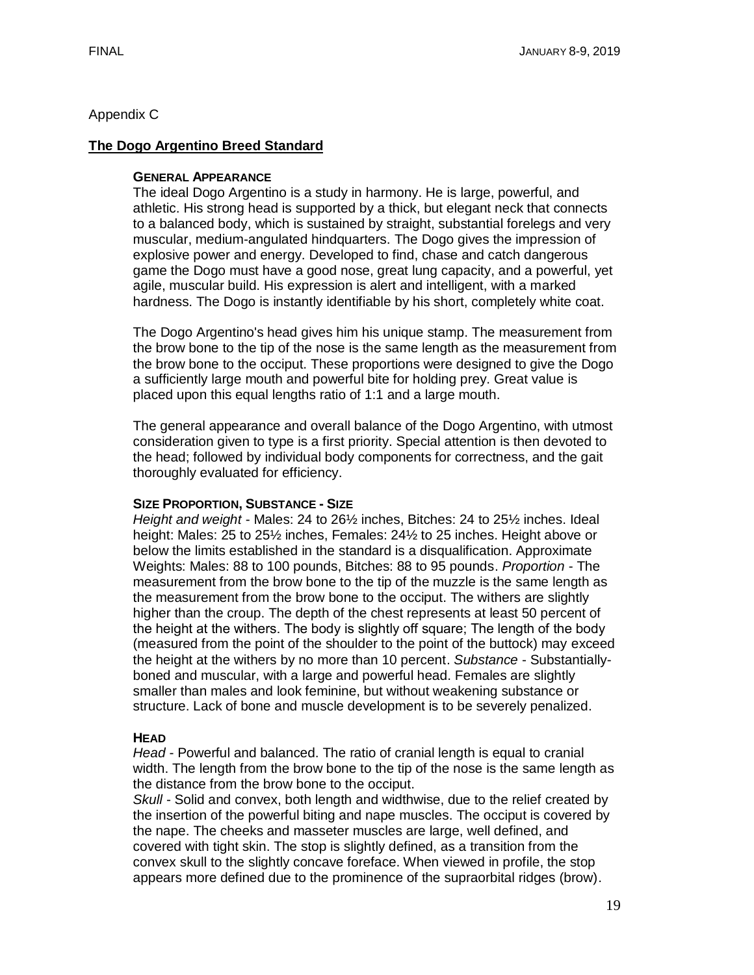# Appendix C

### **The Dogo Argentino Breed Standard**

### **GENERAL APPEARANCE**

The ideal Dogo Argentino is a study in harmony. He is large, powerful, and athletic. His strong head is supported by a thick, but elegant neck that connects to a balanced body, which is sustained by straight, substantial forelegs and very muscular, medium-angulated hindquarters. The Dogo gives the impression of explosive power and energy. Developed to find, chase and catch dangerous game the Dogo must have a good nose, great lung capacity, and a powerful, yet agile, muscular build. His expression is alert and intelligent, with a marked hardness. The Dogo is instantly identifiable by his short, completely white coat.

The Dogo Argentino's head gives him his unique stamp. The measurement from the brow bone to the tip of the nose is the same length as the measurement from the brow bone to the occiput. These proportions were designed to give the Dogo a sufficiently large mouth and powerful bite for holding prey. Great value is placed upon this equal lengths ratio of 1:1 and a large mouth.

The general appearance and overall balance of the Dogo Argentino, with utmost consideration given to type is a first priority. Special attention is then devoted to the head; followed by individual body components for correctness, and the gait thoroughly evaluated for efficiency.

#### **SIZE PROPORTION, SUBSTANCE - SIZE**

*Height and weight* - Males: 24 to 26½ inches, Bitches: 24 to 25½ inches. Ideal height: Males: 25 to 25½ inches, Females: 24½ to 25 inches. Height above or below the limits established in the standard is a disqualification. Approximate Weights: Males: 88 to 100 pounds, Bitches: 88 to 95 pounds. *Proportion* - The measurement from the brow bone to the tip of the muzzle is the same length as the measurement from the brow bone to the occiput. The withers are slightly higher than the croup. The depth of the chest represents at least 50 percent of the height at the withers. The body is slightly off square; The length of the body (measured from the point of the shoulder to the point of the buttock) may exceed the height at the withers by no more than 10 percent. *Substance* - Substantiallyboned and muscular, with a large and powerful head. Females are slightly smaller than males and look feminine, but without weakening substance or structure. Lack of bone and muscle development is to be severely penalized.

### **HEAD**

*Head* - Powerful and balanced. The ratio of cranial length is equal to cranial width. The length from the brow bone to the tip of the nose is the same length as the distance from the brow bone to the occiput.

*Skull* - Solid and convex, both length and widthwise, due to the relief created by the insertion of the powerful biting and nape muscles. The occiput is covered by the nape. The cheeks and masseter muscles are large, well defined, and covered with tight skin. The stop is slightly defined, as a transition from the convex skull to the slightly concave foreface. When viewed in profile, the stop appears more defined due to the prominence of the supraorbital ridges (brow).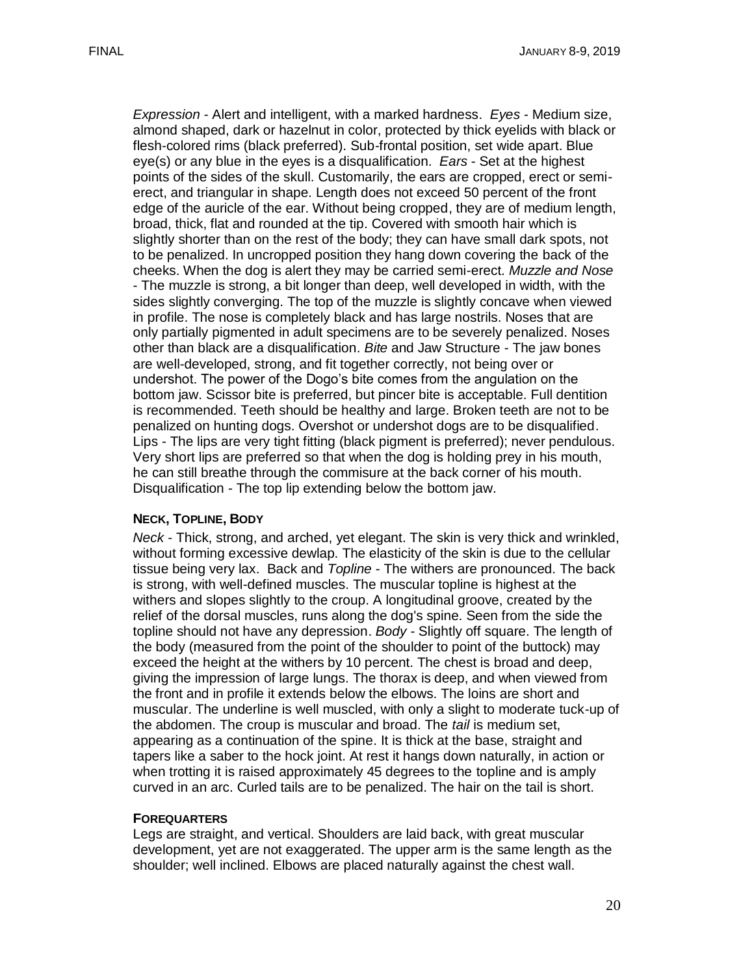*Expression* - Alert and intelligent, with a marked hardness. *Eyes* - Medium size, almond shaped, dark or hazelnut in color, protected by thick eyelids with black or flesh-colored rims (black preferred). Sub-frontal position, set wide apart. Blue eye(s) or any blue in the eyes is a disqualification. *Ears* - Set at the highest points of the sides of the skull. Customarily, the ears are cropped, erect or semierect, and triangular in shape. Length does not exceed 50 percent of the front edge of the auricle of the ear. Without being cropped, they are of medium length, broad, thick, flat and rounded at the tip. Covered with smooth hair which is slightly shorter than on the rest of the body; they can have small dark spots, not to be penalized. In uncropped position they hang down covering the back of the cheeks. When the dog is alert they may be carried semi-erect. *Muzzle and Nose*  - The muzzle is strong, a bit longer than deep, well developed in width, with the sides slightly converging. The top of the muzzle is slightly concave when viewed in profile. The nose is completely black and has large nostrils. Noses that are only partially pigmented in adult specimens are to be severely penalized. Noses other than black are a disqualification. *Bite* and Jaw Structure - The jaw bones are well-developed, strong, and fit together correctly, not being over or undershot. The power of the Dogo's bite comes from the angulation on the bottom jaw. Scissor bite is preferred, but pincer bite is acceptable. Full dentition is recommended. Teeth should be healthy and large. Broken teeth are not to be penalized on hunting dogs. Overshot or undershot dogs are to be disqualified. Lips - The lips are very tight fitting (black pigment is preferred); never pendulous. Very short lips are preferred so that when the dog is holding prey in his mouth, he can still breathe through the commisure at the back corner of his mouth. Disqualification - The top lip extending below the bottom jaw.

### **NECK, TOPLINE, BODY**

*Neck* - Thick, strong, and arched, yet elegant. The skin is very thick and wrinkled, without forming excessive dewlap. The elasticity of the skin is due to the cellular tissue being very lax. Back and *Topline* - The withers are pronounced. The back is strong, with well-defined muscles. The muscular topline is highest at the withers and slopes slightly to the croup. A longitudinal groove, created by the relief of the dorsal muscles, runs along the dog's spine. Seen from the side the topline should not have any depression. *Body* - Slightly off square. The length of the body (measured from the point of the shoulder to point of the buttock) may exceed the height at the withers by 10 percent. The chest is broad and deep, giving the impression of large lungs. The thorax is deep, and when viewed from the front and in profile it extends below the elbows. The loins are short and muscular. The underline is well muscled, with only a slight to moderate tuck-up of the abdomen. The croup is muscular and broad. The *tail* is medium set, appearing as a continuation of the spine. It is thick at the base, straight and tapers like a saber to the hock joint. At rest it hangs down naturally, in action or when trotting it is raised approximately 45 degrees to the topline and is amply curved in an arc. Curled tails are to be penalized. The hair on the tail is short.

#### **FOREQUARTERS**

Legs are straight, and vertical. Shoulders are laid back, with great muscular development, yet are not exaggerated. The upper arm is the same length as the shoulder; well inclined. Elbows are placed naturally against the chest wall.